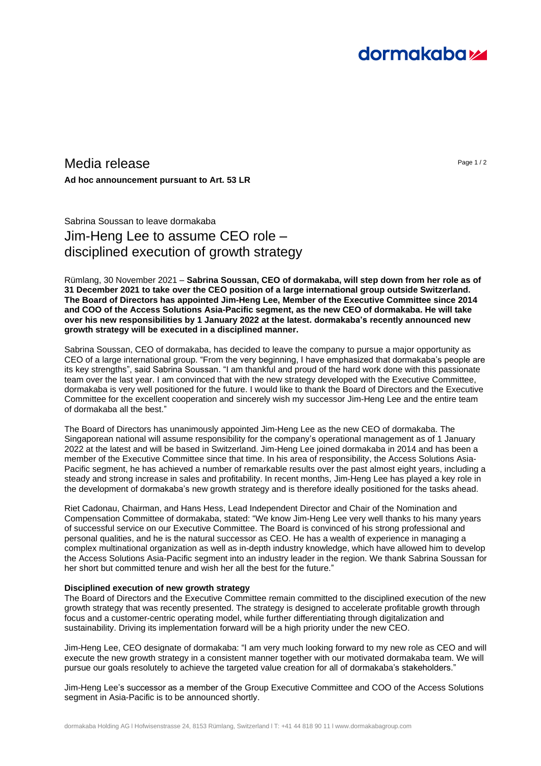# **dormakabazz**

## $M$ edia release  $P_{\text{age 1/2}}$

**Ad hoc announcement pursuant to Art. 53 LR**

Sabrina Soussan to leave dormakaba Jim-Heng Lee to assume CEO role – disciplined execution of growth strategy

Rümlang, 30 November 2021 – **Sabrina Soussan, CEO of dormakaba, will step down from her role as of 31 December 2021 to take over the CEO position of a large international group outside Switzerland. The Board of Directors has appointed Jim-Heng Lee, Member of the Executive Committee since 2014 and COO of the Access Solutions Asia-Pacific segment, as the new CEO of dormakaba. He will take over his new responsibilities by 1 January 2022 at the latest. dormakaba's recently announced new growth strategy will be executed in a disciplined manner.**

Sabrina Soussan, CEO of dormakaba, has decided to leave the company to pursue a major opportunity as CEO of a large international group. "From the very beginning, I have emphasized that dormakaba's people are its key strengths", said Sabrina Soussan. "I am thankful and proud of the hard work done with this passionate team over the last year. I am convinced that with the new strategy developed with the Executive Committee, dormakaba is very well positioned for the future. I would like to thank the Board of Directors and the Executive Committee for the excellent cooperation and sincerely wish my successor Jim-Heng Lee and the entire team of dormakaba all the best."

The Board of Directors has unanimously appointed Jim-Heng Lee as the new CEO of dormakaba. The Singaporean national will assume responsibility for the company's operational management as of 1 January 2022 at the latest and will be based in Switzerland. Jim-Heng Lee joined dormakaba in 2014 and has been a member of the Executive Committee since that time. In his area of responsibility, the Access Solutions Asia-Pacific segment, he has achieved a number of remarkable results over the past almost eight years, including a steady and strong increase in sales and profitability. In recent months, Jim-Heng Lee has played a key role in the development of dormakaba's new growth strategy and is therefore ideally positioned for the tasks ahead.

Riet Cadonau, Chairman, and Hans Hess, Lead Independent Director and Chair of the Nomination and Compensation Committee of dormakaba, stated: "We know Jim-Heng Lee very well thanks to his many years of successful service on our Executive Committee. The Board is convinced of his strong professional and personal qualities, and he is the natural successor as CEO. He has a wealth of experience in managing a complex multinational organization as well as in-depth industry knowledge, which have allowed him to develop the Access Solutions Asia-Pacific segment into an industry leader in the region. We thank Sabrina Soussan for her short but committed tenure and wish her all the best for the future."

### **Disciplined execution of new growth strategy**

The Board of Directors and the Executive Committee remain committed to the disciplined execution of the new growth strategy that was recently presented. The strategy is designed to accelerate profitable growth through focus and a customer-centric operating model, while further differentiating through digitalization and sustainability. Driving its implementation forward will be a high priority under the new CEO.

Jim-Heng Lee, CEO designate of dormakaba: "I am very much looking forward to my new role as CEO and will execute the new growth strategy in a consistent manner together with our motivated dormakaba team. We will pursue our goals resolutely to achieve the targeted value creation for all of dormakaba's stakeholders."

Jim-Heng Lee's successor as a member of the Group Executive Committee and COO of the Access Solutions segment in Asia-Pacific is to be announced shortly.